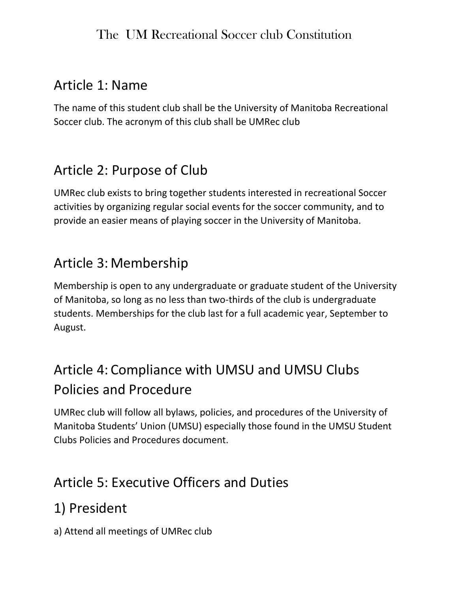### Article 1: Name

The name of this student club shall be the University of Manitoba Recreational Soccer club. The acronym of this club shall be UMRec club

### Article 2: Purpose of Club

UMRec club exists to bring together students interested in recreational Soccer activities by organizing regular social events for the soccer community, and to provide an easier means of playing soccer in the University of Manitoba.

### Article 3: Membership

Membership is open to any undergraduate or graduate student of the University of Manitoba, so long as no less than two-thirds of the club is undergraduate students. Memberships for the club last for a full academic year, September to August.

# Article 4: Compliance with UMSU and UMSU Clubs Policies and Procedure

UMRec club will follow all bylaws, policies, and procedures of the University of Manitoba Students' Union (UMSU) especially those found in the UMSU Student Clubs Policies and Procedures document.

# Article 5: Executive Officers and Duties

# 1) President

a) Attend all meetings of UMRec club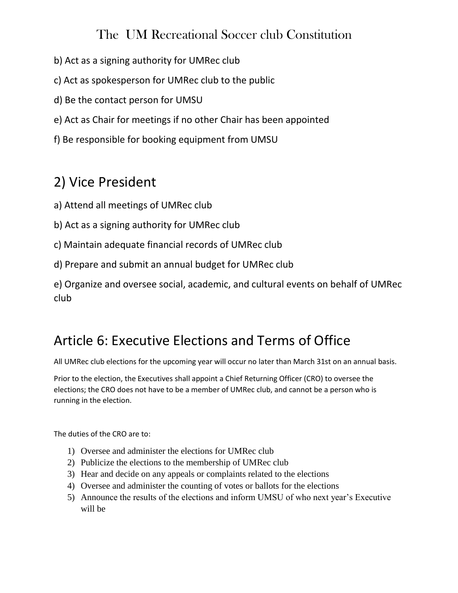- b) Act as a signing authority for UMRec club
- c) Act as spokesperson for UMRec club to the public
- d) Be the contact person for UMSU
- e) Act as Chair for meetings if no other Chair has been appointed
- f) Be responsible for booking equipment from UMSU

### 2) Vice President

- a) Attend all meetings of UMRec club
- b) Act as a signing authority for UMRec club
- c) Maintain adequate financial records of UMRec club
- d) Prepare and submit an annual budget for UMRec club

e) Organize and oversee social, academic, and cultural events on behalf of UMRec club

### Article 6: Executive Elections and Terms of Office

All UMRec club elections for the upcoming year will occur no later than March 31st on an annual basis.

Prior to the election, the Executives shall appoint a Chief Returning Officer (CRO) to oversee the elections; the CRO does not have to be a member of UMRec club, and cannot be a person who is running in the election.

The duties of the CRO are to:

- 1) Oversee and administer the elections for UMRec club
- 2) Publicize the elections to the membership of UMRec club
- 3) Hear and decide on any appeals or complaints related to the elections
- 4) Oversee and administer the counting of votes or ballots for the elections
- 5) Announce the results of the elections and inform UMSU of who next year's Executive will be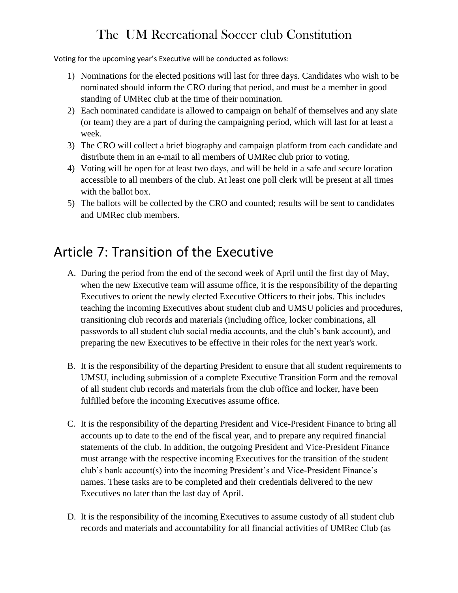Voting for the upcoming year's Executive will be conducted as follows:

- 1) Nominations for the elected positions will last for three days. Candidates who wish to be nominated should inform the CRO during that period, and must be a member in good standing of UMRec club at the time of their nomination.
- 2) Each nominated candidate is allowed to campaign on behalf of themselves and any slate (or team) they are a part of during the campaigning period, which will last for at least a week.
- 3) The CRO will collect a brief biography and campaign platform from each candidate and distribute them in an e-mail to all members of UMRec club prior to voting.
- 4) Voting will be open for at least two days, and will be held in a safe and secure location accessible to all members of the club. At least one poll clerk will be present at all times with the ballot box.
- 5) The ballots will be collected by the CRO and counted; results will be sent to candidates and UMRec club members.

### Article 7: Transition of the Executive

- A. During the period from the end of the second week of April until the first day of May, when the new Executive team will assume office, it is the responsibility of the departing Executives to orient the newly elected Executive Officers to their jobs. This includes teaching the incoming Executives about student club and UMSU policies and procedures, transitioning club records and materials (including office, locker combinations, all passwords to all student club social media accounts, and the club's bank account), and preparing the new Executives to be effective in their roles for the next year's work.
- B. It is the responsibility of the departing President to ensure that all student requirements to UMSU, including submission of a complete Executive Transition Form and the removal of all student club records and materials from the club office and locker, have been fulfilled before the incoming Executives assume office.
- C. It is the responsibility of the departing President and Vice-President Finance to bring all accounts up to date to the end of the fiscal year, and to prepare any required financial statements of the club. In addition, the outgoing President and Vice-President Finance must arrange with the respective incoming Executives for the transition of the student club's bank account(s) into the incoming President's and Vice-President Finance's names. These tasks are to be completed and their credentials delivered to the new Executives no later than the last day of April.
- D. It is the responsibility of the incoming Executives to assume custody of all student club records and materials and accountability for all financial activities of UMRec Club (as